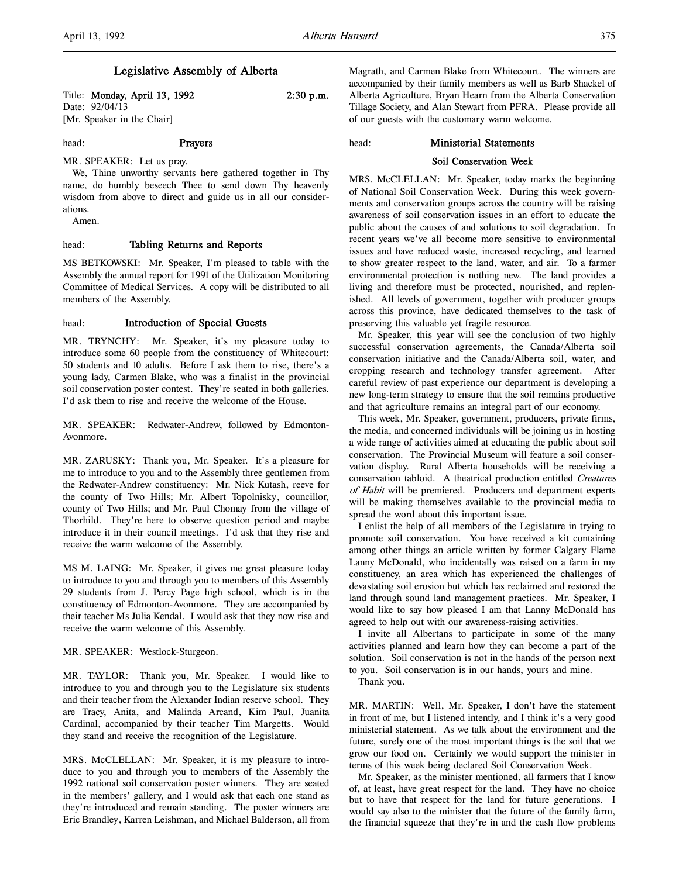# Legislative Assembly of Alberta

Title: **Monday, April 13, 1992** 2:30 p.m. Date: 92/04/13 [Mr. Speaker in the Chair]

head: **Prayers** 

MR. SPEAKER: Let us pray.

We, Thine unworthy servants here gathered together in Thy name, do humbly beseech Thee to send down Thy heavenly wisdom from above to direct and guide us in all our considerations.

Amen.

## head: Tabling Returns and Reports

MS BETKOWSKI: Mr. Speaker, I'm pleased to table with the Assembly the annual report for 1991 of the Utilization Monitoring Committee of Medical Services. A copy will be distributed to all members of the Assembly.

# head: Introduction of Special Guests

MR. TRYNCHY: Mr. Speaker, it's my pleasure today to introduce some 60 people from the constituency of Whitecourt: 50 students and 10 adults. Before I ask them to rise, there's a young lady, Carmen Blake, who was a finalist in the provincial soil conservation poster contest. They're seated in both galleries. I'd ask them to rise and receive the welcome of the House.

MR. SPEAKER: Redwater-Andrew, followed by Edmonton-Avonmore.

MR. ZARUSKY: Thank you, Mr. Speaker. It's a pleasure for me to introduce to you and to the Assembly three gentlemen from the Redwater-Andrew constituency: Mr. Nick Kutash, reeve for the county of Two Hills; Mr. Albert Topolnisky, councillor, county of Two Hills; and Mr. Paul Chomay from the village of Thorhild. They're here to observe question period and maybe introduce it in their council meetings. I'd ask that they rise and receive the warm welcome of the Assembly.

MS M. LAING: Mr. Speaker, it gives me great pleasure today to introduce to you and through you to members of this Assembly 29 students from J. Percy Page high school, which is in the constituency of Edmonton-Avonmore. They are accompanied by their teacher Ms Julia Kendal. I would ask that they now rise and receive the warm welcome of this Assembly.

MR. SPEAKER: Westlock-Sturgeon.

MR. TAYLOR: Thank you, Mr. Speaker. I would like to introduce to you and through you to the Legislature six students and their teacher from the Alexander Indian reserve school. They are Tracy, Anita, and Malinda Arcand, Kim Paul, Juanita Cardinal, accompanied by their teacher Tim Margetts. Would they stand and receive the recognition of the Legislature.

MRS. McCLELLAN: Mr. Speaker, it is my pleasure to introduce to you and through you to members of the Assembly the 1992 national soil conservation poster winners. They are seated in the members' gallery, and I would ask that each one stand as they're introduced and remain standing. The poster winners are Eric Brandley, Karren Leishman, and Michael Balderson, all from Magrath, and Carmen Blake from Whitecourt. The winners are accompanied by their family members as well as Barb Shackel of Alberta Agriculture, Bryan Hearn from the Alberta Conservation Tillage Society, and Alan Stewart from PFRA. Please provide all of our guests with the customary warm welcome.

### head: Ministerial Statements

### Soil Conservation Week

MRS. McCLELLAN: Mr. Speaker, today marks the beginning of National Soil Conservation Week. During this week governments and conservation groups across the country will be raising awareness of soil conservation issues in an effort to educate the public about the causes of and solutions to soil degradation. In recent years we've all become more sensitive to environmental issues and have reduced waste, increased recycling, and learned to show greater respect to the land, water, and air. To a farmer environmental protection is nothing new. The land provides a living and therefore must be protected, nourished, and replenished. All levels of government, together with producer groups across this province, have dedicated themselves to the task of preserving this valuable yet fragile resource.

Mr. Speaker, this year will see the conclusion of two highly successful conservation agreements, the Canada/Alberta soil conservation initiative and the Canada/Alberta soil, water, and cropping research and technology transfer agreement. After careful review of past experience our department is developing a new long-term strategy to ensure that the soil remains productive and that agriculture remains an integral part of our economy.

This week, Mr. Speaker, government, producers, private firms, the media, and concerned individuals will be joining us in hosting a wide range of activities aimed at educating the public about soil conservation. The Provincial Museum will feature a soil conservation display. Rural Alberta households will be receiving a conservation tabloid. A theatrical production entitled Creatures of Habit will be premiered. Producers and department experts will be making themselves available to the provincial media to spread the word about this important issue.

I enlist the help of all members of the Legislature in trying to promote soil conservation. You have received a kit containing among other things an article written by former Calgary Flame Lanny McDonald, who incidentally was raised on a farm in my constituency, an area which has experienced the challenges of devastating soil erosion but which has reclaimed and restored the land through sound land management practices. Mr. Speaker, I would like to say how pleased I am that Lanny McDonald has agreed to help out with our awareness-raising activities.

I invite all Albertans to participate in some of the many activities planned and learn how they can become a part of the solution. Soil conservation is not in the hands of the person next to you. Soil conservation is in our hands, yours and mine.

Thank you.

MR. MARTIN: Well, Mr. Speaker, I don't have the statement in front of me, but I listened intently, and I think it's a very good ministerial statement. As we talk about the environment and the future, surely one of the most important things is the soil that we grow our food on. Certainly we would support the minister in terms of this week being declared Soil Conservation Week.

Mr. Speaker, as the minister mentioned, all farmers that I know of, at least, have great respect for the land. They have no choice but to have that respect for the land for future generations. I would say also to the minister that the future of the family farm, the financial squeeze that they're in and the cash flow problems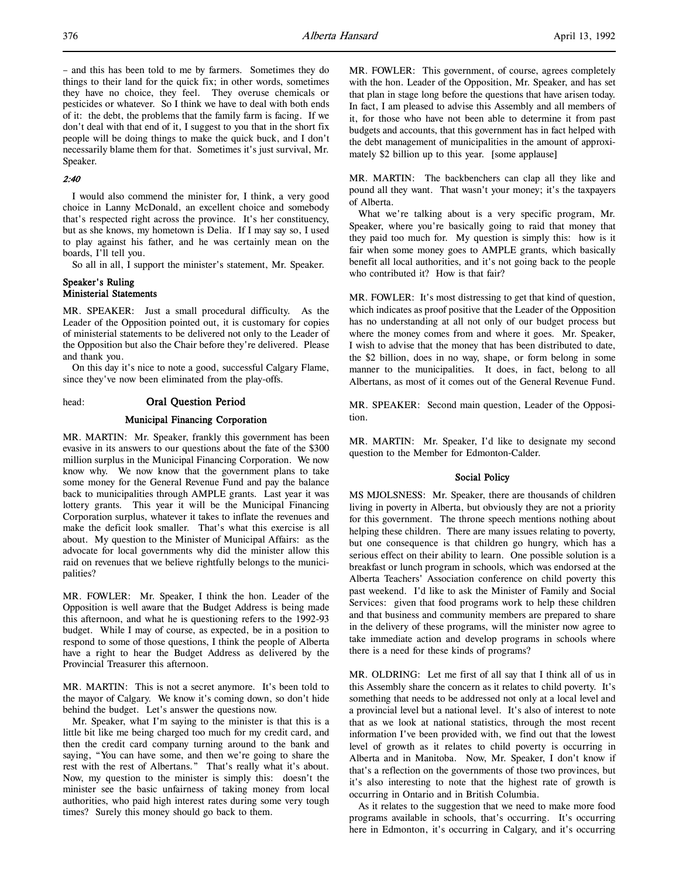– and this has been told to me by farmers. Sometimes they do things to their land for the quick fix; in other words, sometimes they have no choice, they feel. They overuse chemicals or pesticides or whatever. So I think we have to deal with both ends of it: the debt, the problems that the family farm is facing. If we don't deal with that end of it, I suggest to you that in the short fix people will be doing things to make the quick buck, and I don't necessarily blame them for that. Sometimes it's just survival, Mr. Speaker.

## 2:40

I would also commend the minister for, I think, a very good choice in Lanny McDonald, an excellent choice and somebody that's respected right across the province. It's her constituency, but as she knows, my hometown is Delia. If I may say so, I used to play against his father, and he was certainly mean on the boards, I'll tell you.

So all in all, I support the minister's statement, Mr. Speaker.

## Speaker's Ruling Ministerial Statements

MR. SPEAKER: Just a small procedural difficulty. As the Leader of the Opposition pointed out, it is customary for copies of ministerial statements to be delivered not only to the Leader of the Opposition but also the Chair before they're delivered. Please and thank you.

On this day it's nice to note a good, successful Calgary Flame, since they've now been eliminated from the play-offs.

## head: Oral Question Period

## Municipal Financing Corporation

MR. MARTIN: Mr. Speaker, frankly this government has been evasive in its answers to our questions about the fate of the \$300 million surplus in the Municipal Financing Corporation. We now know why. We now know that the government plans to take some money for the General Revenue Fund and pay the balance back to municipalities through AMPLE grants. Last year it was lottery grants. This year it will be the Municipal Financing Corporation surplus, whatever it takes to inflate the revenues and make the deficit look smaller. That's what this exercise is all about. My question to the Minister of Municipal Affairs: as the advocate for local governments why did the minister allow this raid on revenues that we believe rightfully belongs to the municipalities?

MR. FOWLER: Mr. Speaker, I think the hon. Leader of the Opposition is well aware that the Budget Address is being made this afternoon, and what he is questioning refers to the 1992-93 budget. While I may of course, as expected, be in a position to respond to some of those questions, I think the people of Alberta have a right to hear the Budget Address as delivered by the Provincial Treasurer this afternoon.

MR. MARTIN: This is not a secret anymore. It's been told to the mayor of Calgary. We know it's coming down, so don't hide behind the budget. Let's answer the questions now.

Mr. Speaker, what I'm saying to the minister is that this is a little bit like me being charged too much for my credit card, and then the credit card company turning around to the bank and saying, "You can have some, and then we're going to share the rest with the rest of Albertans." That's really what it's about. Now, my question to the minister is simply this: doesn't the minister see the basic unfairness of taking money from local authorities, who paid high interest rates during some very tough times? Surely this money should go back to them.

MR. FOWLER: This government, of course, agrees completely with the hon. Leader of the Opposition, Mr. Speaker, and has set that plan in stage long before the questions that have arisen today. In fact, I am pleased to advise this Assembly and all members of it, for those who have not been able to determine it from past budgets and accounts, that this government has in fact helped with the debt management of municipalities in the amount of approximately \$2 billion up to this year. [some applause]

MR. MARTIN: The backbenchers can clap all they like and pound all they want. That wasn't your money; it's the taxpayers of Alberta.

What we're talking about is a very specific program, Mr. Speaker, where you're basically going to raid that money that they paid too much for. My question is simply this: how is it fair when some money goes to AMPLE grants, which basically benefit all local authorities, and it's not going back to the people who contributed it? How is that fair?

MR. FOWLER: It's most distressing to get that kind of question, which indicates as proof positive that the Leader of the Opposition has no understanding at all not only of our budget process but where the money comes from and where it goes. Mr. Speaker, I wish to advise that the money that has been distributed to date, the \$2 billion, does in no way, shape, or form belong in some manner to the municipalities. It does, in fact, belong to all Albertans, as most of it comes out of the General Revenue Fund.

MR. SPEAKER: Second main question, Leader of the Opposition.

MR. MARTIN: Mr. Speaker, I'd like to designate my second question to the Member for Edmonton-Calder.

### Social Policy

MS MJOLSNESS: Mr. Speaker, there are thousands of children living in poverty in Alberta, but obviously they are not a priority for this government. The throne speech mentions nothing about helping these children. There are many issues relating to poverty, but one consequence is that children go hungry, which has a serious effect on their ability to learn. One possible solution is a breakfast or lunch program in schools, which was endorsed at the Alberta Teachers' Association conference on child poverty this past weekend. I'd like to ask the Minister of Family and Social Services: given that food programs work to help these children and that business and community members are prepared to share in the delivery of these programs, will the minister now agree to take immediate action and develop programs in schools where there is a need for these kinds of programs?

MR. OLDRING: Let me first of all say that I think all of us in this Assembly share the concern as it relates to child poverty. It's something that needs to be addressed not only at a local level and a provincial level but a national level. It's also of interest to note that as we look at national statistics, through the most recent information I've been provided with, we find out that the lowest level of growth as it relates to child poverty is occurring in Alberta and in Manitoba. Now, Mr. Speaker, I don't know if that's a reflection on the governments of those two provinces, but it's also interesting to note that the highest rate of growth is occurring in Ontario and in British Columbia.

As it relates to the suggestion that we need to make more food programs available in schools, that's occurring. It's occurring here in Edmonton, it's occurring in Calgary, and it's occurring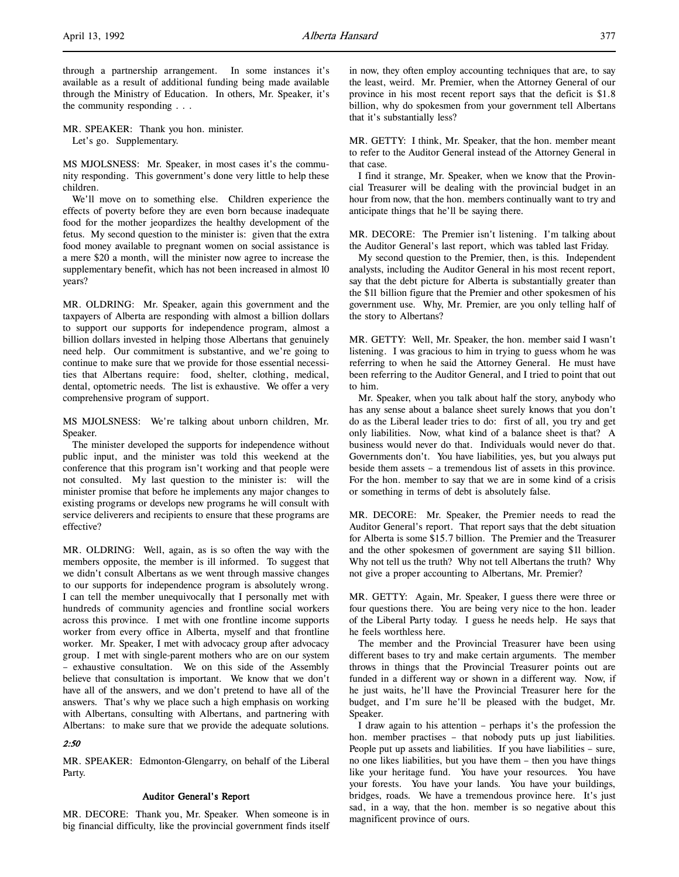l,

through a partnership arrangement. In some instances it's available as a result of additional funding being made available through the Ministry of Education. In others, Mr. Speaker, it's the community responding . . .

MR. SPEAKER: Thank you hon. minister. Let's go. Supplementary.

MS MJOLSNESS: Mr. Speaker, in most cases it's the community responding. This government's done very little to help these children.

We'll move on to something else. Children experience the effects of poverty before they are even born because inadequate food for the mother jeopardizes the healthy development of the fetus. My second question to the minister is: given that the extra food money available to pregnant women on social assistance is a mere \$20 a month, will the minister now agree to increase the supplementary benefit, which has not been increased in almost 10 years?

MR. OLDRING: Mr. Speaker, again this government and the taxpayers of Alberta are responding with almost a billion dollars to support our supports for independence program, almost a billion dollars invested in helping those Albertans that genuinely need help. Our commitment is substantive, and we're going to continue to make sure that we provide for those essential necessities that Albertans require: food, shelter, clothing, medical, dental, optometric needs. The list is exhaustive. We offer a very comprehensive program of support.

MS MJOLSNESS: We're talking about unborn children, Mr. Speaker.

The minister developed the supports for independence without public input, and the minister was told this weekend at the conference that this program isn't working and that people were not consulted. My last question to the minister is: will the minister promise that before he implements any major changes to existing programs or develops new programs he will consult with service deliverers and recipients to ensure that these programs are effective?

MR. OLDRING: Well, again, as is so often the way with the members opposite, the member is ill informed. To suggest that we didn't consult Albertans as we went through massive changes to our supports for independence program is absolutely wrong. I can tell the member unequivocally that I personally met with hundreds of community agencies and frontline social workers across this province. I met with one frontline income supports worker from every office in Alberta, myself and that frontline worker. Mr. Speaker, I met with advocacy group after advocacy group. I met with single-parent mothers who are on our system – exhaustive consultation. We on this side of the Assembly believe that consultation is important. We know that we don't have all of the answers, and we don't pretend to have all of the answers. That's why we place such a high emphasis on working with Albertans, consulting with Albertans, and partnering with Albertans: to make sure that we provide the adequate solutions.

## 2:50

MR. SPEAKER: Edmonton-Glengarry, on behalf of the Liberal Party.

# Auditor General's Report

MR. DECORE: Thank you, Mr. Speaker. When someone is in big financial difficulty, like the provincial government finds itself in now, they often employ accounting techniques that are, to say the least, weird. Mr. Premier, when the Attorney General of our province in his most recent report says that the deficit is \$1.8 billion, why do spokesmen from your government tell Albertans that it's substantially less?

MR. GETTY: I think, Mr. Speaker, that the hon. member meant to refer to the Auditor General instead of the Attorney General in that case.

I find it strange, Mr. Speaker, when we know that the Provincial Treasurer will be dealing with the provincial budget in an hour from now, that the hon. members continually want to try and anticipate things that he'll be saying there.

MR. DECORE: The Premier isn't listening. I'm talking about the Auditor General's last report, which was tabled last Friday.

My second question to the Premier, then, is this. Independent analysts, including the Auditor General in his most recent report, say that the debt picture for Alberta is substantially greater than the \$11 billion figure that the Premier and other spokesmen of his government use. Why, Mr. Premier, are you only telling half of the story to Albertans?

MR. GETTY: Well, Mr. Speaker, the hon. member said I wasn't listening. I was gracious to him in trying to guess whom he was referring to when he said the Attorney General. He must have been referring to the Auditor General, and I tried to point that out to him.

Mr. Speaker, when you talk about half the story, anybody who has any sense about a balance sheet surely knows that you don't do as the Liberal leader tries to do: first of all, you try and get only liabilities. Now, what kind of a balance sheet is that? A business would never do that. Individuals would never do that. Governments don't. You have liabilities, yes, but you always put beside them assets – a tremendous list of assets in this province. For the hon. member to say that we are in some kind of a crisis or something in terms of debt is absolutely false.

MR. DECORE: Mr. Speaker, the Premier needs to read the Auditor General's report. That report says that the debt situation for Alberta is some \$15.7 billion. The Premier and the Treasurer and the other spokesmen of government are saying \$11 billion. Why not tell us the truth? Why not tell Albertans the truth? Why not give a proper accounting to Albertans, Mr. Premier?

MR. GETTY: Again, Mr. Speaker, I guess there were three or four questions there. You are being very nice to the hon. leader of the Liberal Party today. I guess he needs help. He says that he feels worthless here.

The member and the Provincial Treasurer have been using different bases to try and make certain arguments. The member throws in things that the Provincial Treasurer points out are funded in a different way or shown in a different way. Now, if he just waits, he'll have the Provincial Treasurer here for the budget, and I'm sure he'll be pleased with the budget, Mr. Speaker.

I draw again to his attention – perhaps it's the profession the hon. member practises – that nobody puts up just liabilities. People put up assets and liabilities. If you have liabilities – sure, no one likes liabilities, but you have them – then you have things like your heritage fund. You have your resources. You have your forests. You have your lands. You have your buildings, bridges, roads. We have a tremendous province here. It's just sad, in a way, that the hon. member is so negative about this magnificent province of ours.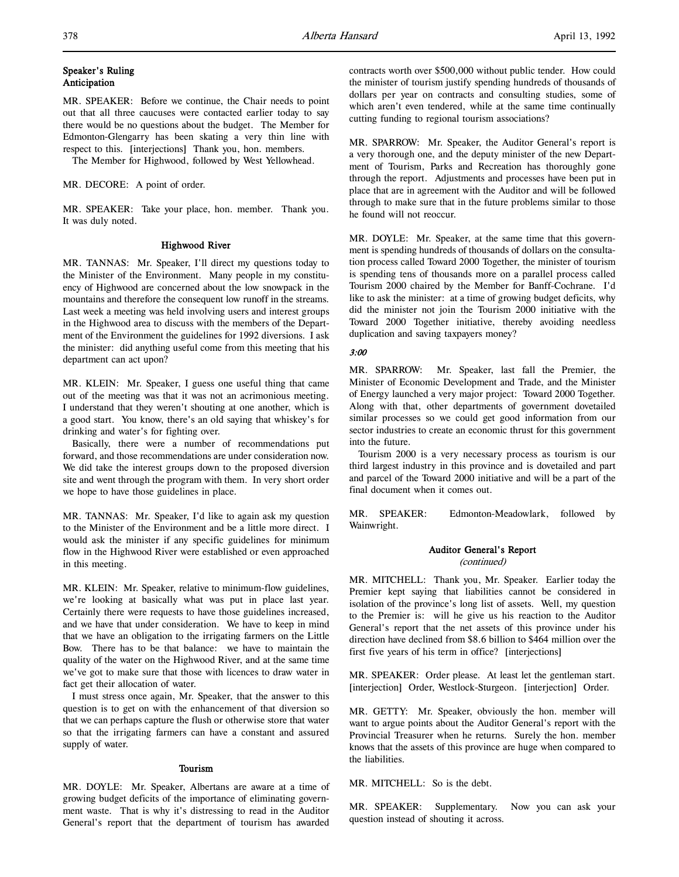# Speaker's Ruling Anticipation

MR. SPEAKER: Before we continue, the Chair needs to point out that all three caucuses were contacted earlier today to say there would be no questions about the budget. The Member for Edmonton-Glengarry has been skating a very thin line with respect to this. [interjections] Thank you, hon. members.

The Member for Highwood, followed by West Yellowhead.

## MR. DECORE: A point of order.

MR. SPEAKER: Take your place, hon. member. Thank you. It was duly noted.

# Highwood River

MR. TANNAS: Mr. Speaker, I'll direct my questions today to the Minister of the Environment. Many people in my constituency of Highwood are concerned about the low snowpack in the mountains and therefore the consequent low runoff in the streams. Last week a meeting was held involving users and interest groups in the Highwood area to discuss with the members of the Department of the Environment the guidelines for 1992 diversions. I ask the minister: did anything useful come from this meeting that his department can act upon?

MR. KLEIN: Mr. Speaker, I guess one useful thing that came out of the meeting was that it was not an acrimonious meeting. I understand that they weren't shouting at one another, which is a good start. You know, there's an old saying that whiskey's for drinking and water's for fighting over.

Basically, there were a number of recommendations put forward, and those recommendations are under consideration now. We did take the interest groups down to the proposed diversion site and went through the program with them. In very short order we hope to have those guidelines in place.

MR. TANNAS: Mr. Speaker, I'd like to again ask my question to the Minister of the Environment and be a little more direct. I would ask the minister if any specific guidelines for minimum flow in the Highwood River were established or even approached in this meeting.

MR. KLEIN: Mr. Speaker, relative to minimum-flow guidelines, we're looking at basically what was put in place last year. Certainly there were requests to have those guidelines increased, and we have that under consideration. We have to keep in mind that we have an obligation to the irrigating farmers on the Little Bow. There has to be that balance: we have to maintain the quality of the water on the Highwood River, and at the same time we've got to make sure that those with licences to draw water in fact get their allocation of water.

I must stress once again, Mr. Speaker, that the answer to this question is to get on with the enhancement of that diversion so that we can perhaps capture the flush or otherwise store that water so that the irrigating farmers can have a constant and assured supply of water.

## Tourism

MR. DOYLE: Mr. Speaker, Albertans are aware at a time of growing budget deficits of the importance of eliminating government waste. That is why it's distressing to read in the Auditor General's report that the department of tourism has awarded

contracts worth over \$500,000 without public tender. How could the minister of tourism justify spending hundreds of thousands of dollars per year on contracts and consulting studies, some of which aren't even tendered, while at the same time continually cutting funding to regional tourism associations?

MR. SPARROW: Mr. Speaker, the Auditor General's report is a very thorough one, and the deputy minister of the new Department of Tourism, Parks and Recreation has thoroughly gone through the report. Adjustments and processes have been put in place that are in agreement with the Auditor and will be followed through to make sure that in the future problems similar to those he found will not reoccur.

MR. DOYLE: Mr. Speaker, at the same time that this government is spending hundreds of thousands of dollars on the consultation process called Toward 2000 Together, the minister of tourism is spending tens of thousands more on a parallel process called Tourism 2000 chaired by the Member for Banff-Cochrane. I'd like to ask the minister: at a time of growing budget deficits, why did the minister not join the Tourism 2000 initiative with the Toward 2000 Together initiative, thereby avoiding needless duplication and saving taxpayers money?

# 3:00

MR. SPARROW: Mr. Speaker, last fall the Premier, the Minister of Economic Development and Trade, and the Minister of Energy launched a very major project: Toward 2000 Together. Along with that, other departments of government dovetailed similar processes so we could get good information from our sector industries to create an economic thrust for this government into the future.

Tourism 2000 is a very necessary process as tourism is our third largest industry in this province and is dovetailed and part and parcel of the Toward 2000 initiative and will be a part of the final document when it comes out.

MR. SPEAKER: Edmonton-Meadowlark, followed by Wainwright.

## Auditor General's Report (continued)

MR. MITCHELL: Thank you, Mr. Speaker. Earlier today the Premier kept saying that liabilities cannot be considered in isolation of the province's long list of assets. Well, my question to the Premier is: will he give us his reaction to the Auditor General's report that the net assets of this province under his direction have declined from \$8.6 billion to \$464 million over the first five years of his term in office? [interjections]

MR. SPEAKER: Order please. At least let the gentleman start. [interjection] Order, Westlock-Sturgeon. [interjection] Order.

MR. GETTY: Mr. Speaker, obviously the hon. member will want to argue points about the Auditor General's report with the Provincial Treasurer when he returns. Surely the hon. member knows that the assets of this province are huge when compared to the liabilities.

### MR. MITCHELL: So is the debt.

MR. SPEAKER: Supplementary. Now you can ask your question instead of shouting it across.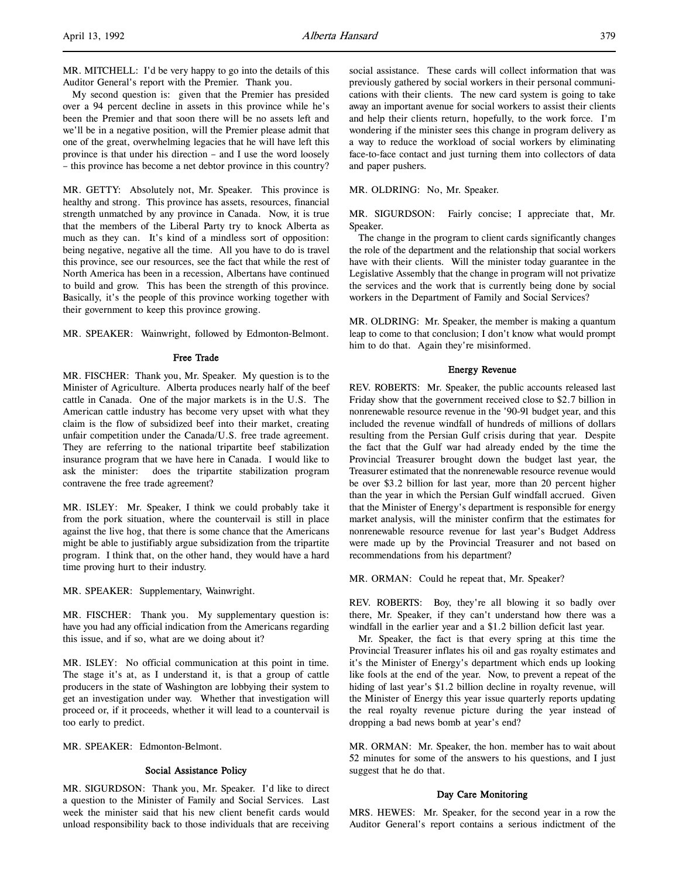My second question is: given that the Premier has presided over a 94 percent decline in assets in this province while he's been the Premier and that soon there will be no assets left and we'll be in a negative position, will the Premier please admit that one of the great, overwhelming legacies that he will have left this province is that under his direction – and I use the word loosely – this province has become a net debtor province in this country?

MR. GETTY: Absolutely not, Mr. Speaker. This province is healthy and strong. This province has assets, resources, financial strength unmatched by any province in Canada. Now, it is true that the members of the Liberal Party try to knock Alberta as much as they can. It's kind of a mindless sort of opposition: being negative, negative all the time. All you have to do is travel this province, see our resources, see the fact that while the rest of North America has been in a recession, Albertans have continued to build and grow. This has been the strength of this province. Basically, it's the people of this province working together with their government to keep this province growing.

MR. SPEAKER: Wainwright, followed by Edmonton-Belmont.

### Free Trade

MR. FISCHER: Thank you, Mr. Speaker. My question is to the Minister of Agriculture. Alberta produces nearly half of the beef cattle in Canada. One of the major markets is in the U.S. The American cattle industry has become very upset with what they claim is the flow of subsidized beef into their market, creating unfair competition under the Canada/U.S. free trade agreement. They are referring to the national tripartite beef stabilization insurance program that we have here in Canada. I would like to ask the minister: does the tripartite stabilization program contravene the free trade agreement?

MR. ISLEY: Mr. Speaker, I think we could probably take it from the pork situation, where the countervail is still in place against the live hog, that there is some chance that the Americans might be able to justifiably argue subsidization from the tripartite program. I think that, on the other hand, they would have a hard time proving hurt to their industry.

MR. SPEAKER: Supplementary, Wainwright.

MR. FISCHER: Thank you. My supplementary question is: have you had any official indication from the Americans regarding this issue, and if so, what are we doing about it?

MR. ISLEY: No official communication at this point in time. The stage it's at, as I understand it, is that a group of cattle producers in the state of Washington are lobbying their system to get an investigation under way. Whether that investigation will proceed or, if it proceeds, whether it will lead to a countervail is too early to predict.

MR. SPEAKER: Edmonton-Belmont.

### Social Assistance Policy

MR. SIGURDSON: Thank you, Mr. Speaker. I'd like to direct a question to the Minister of Family and Social Services. Last week the minister said that his new client benefit cards would unload responsibility back to those individuals that are receiving

social assistance. These cards will collect information that was previously gathered by social workers in their personal communications with their clients. The new card system is going to take away an important avenue for social workers to assist their clients and help their clients return, hopefully, to the work force. I'm wondering if the minister sees this change in program delivery as a way to reduce the workload of social workers by eliminating face-to-face contact and just turning them into collectors of data and paper pushers.

MR. OLDRING: No, Mr. Speaker.

MR. SIGURDSON: Fairly concise; I appreciate that, Mr. Speaker.

The change in the program to client cards significantly changes the role of the department and the relationship that social workers have with their clients. Will the minister today guarantee in the Legislative Assembly that the change in program will not privatize the services and the work that is currently being done by social workers in the Department of Family and Social Services?

MR. OLDRING: Mr. Speaker, the member is making a quantum leap to come to that conclusion; I don't know what would prompt him to do that. Again they're misinformed.

### Energy Revenue

REV. ROBERTS: Mr. Speaker, the public accounts released last Friday show that the government received close to \$2.7 billion in nonrenewable resource revenue in the '90-91 budget year, and this included the revenue windfall of hundreds of millions of dollars resulting from the Persian Gulf crisis during that year. Despite the fact that the Gulf war had already ended by the time the Provincial Treasurer brought down the budget last year, the Treasurer estimated that the nonrenewable resource revenue would be over \$3.2 billion for last year, more than 20 percent higher than the year in which the Persian Gulf windfall accrued. Given that the Minister of Energy's department is responsible for energy market analysis, will the minister confirm that the estimates for nonrenewable resource revenue for last year's Budget Address were made up by the Provincial Treasurer and not based on recommendations from his department?

MR. ORMAN: Could he repeat that, Mr. Speaker?

REV. ROBERTS: Boy, they're all blowing it so badly over there, Mr. Speaker, if they can't understand how there was a windfall in the earlier year and a \$1.2 billion deficit last year.

Mr. Speaker, the fact is that every spring at this time the Provincial Treasurer inflates his oil and gas royalty estimates and it's the Minister of Energy's department which ends up looking like fools at the end of the year. Now, to prevent a repeat of the hiding of last year's \$1.2 billion decline in royalty revenue, will the Minister of Energy this year issue quarterly reports updating the real royalty revenue picture during the year instead of dropping a bad news bomb at year's end?

MR. ORMAN: Mr. Speaker, the hon. member has to wait about 52 minutes for some of the answers to his questions, and I just suggest that he do that.

### Day Care Monitoring

MRS. HEWES: Mr. Speaker, for the second year in a row the Auditor General's report contains a serious indictment of the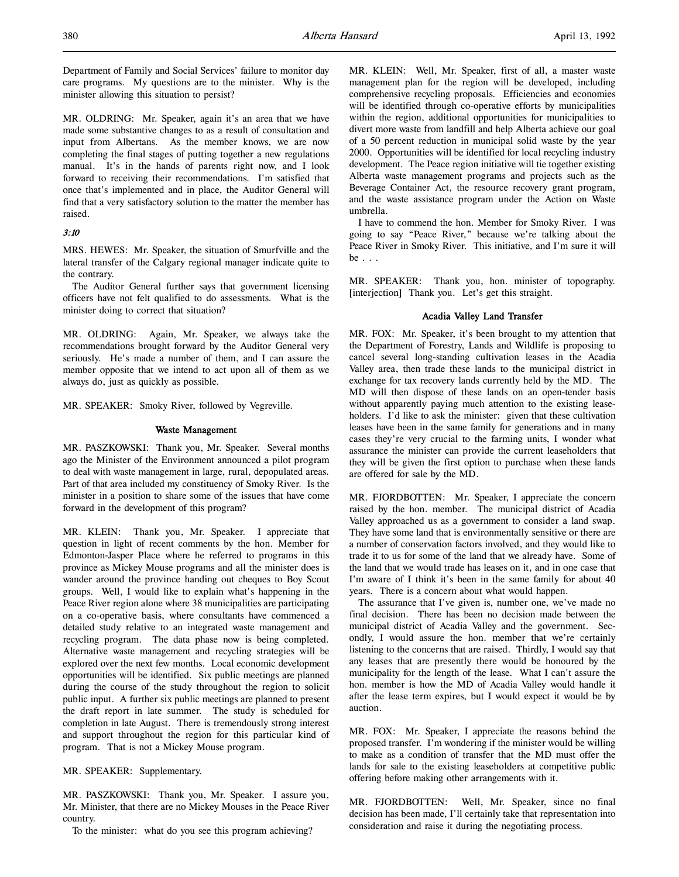Department of Family and Social Services' failure to monitor day care programs. My questions are to the minister. Why is the minister allowing this situation to persist?

MR. OLDRING: Mr. Speaker, again it's an area that we have made some substantive changes to as a result of consultation and input from Albertans. As the member knows, we are now completing the final stages of putting together a new regulations manual. It's in the hands of parents right now, and I look forward to receiving their recommendations. I'm satisfied that once that's implemented and in place, the Auditor General will find that a very satisfactory solution to the matter the member has raised.

## 3:10

MRS. HEWES: Mr. Speaker, the situation of Smurfville and the lateral transfer of the Calgary regional manager indicate quite to the contrary.

The Auditor General further says that government licensing officers have not felt qualified to do assessments. What is the minister doing to correct that situation?

MR. OLDRING: Again, Mr. Speaker, we always take the recommendations brought forward by the Auditor General very seriously. He's made a number of them, and I can assure the member opposite that we intend to act upon all of them as we always do, just as quickly as possible.

MR. SPEAKER: Smoky River, followed by Vegreville.

### Waste Management

MR. PASZKOWSKI: Thank you, Mr. Speaker. Several months ago the Minister of the Environment announced a pilot program to deal with waste management in large, rural, depopulated areas. Part of that area included my constituency of Smoky River. Is the minister in a position to share some of the issues that have come forward in the development of this program?

MR. KLEIN: Thank you, Mr. Speaker. I appreciate that question in light of recent comments by the hon. Member for Edmonton-Jasper Place where he referred to programs in this province as Mickey Mouse programs and all the minister does is wander around the province handing out cheques to Boy Scout groups. Well, I would like to explain what's happening in the Peace River region alone where 38 municipalities are participating on a co-operative basis, where consultants have commenced a detailed study relative to an integrated waste management and recycling program. The data phase now is being completed. Alternative waste management and recycling strategies will be explored over the next few months. Local economic development opportunities will be identified. Six public meetings are planned during the course of the study throughout the region to solicit public input. A further six public meetings are planned to present the draft report in late summer. The study is scheduled for completion in late August. There is tremendously strong interest and support throughout the region for this particular kind of program. That is not a Mickey Mouse program.

## MR. SPEAKER: Supplementary.

MR. PASZKOWSKI: Thank you, Mr. Speaker. I assure you, Mr. Minister, that there are no Mickey Mouses in the Peace River country.

To the minister: what do you see this program achieving?

MR. KLEIN: Well, Mr. Speaker, first of all, a master waste management plan for the region will be developed, including comprehensive recycling proposals. Efficiencies and economies will be identified through co-operative efforts by municipalities within the region, additional opportunities for municipalities to divert more waste from landfill and help Alberta achieve our goal of a 50 percent reduction in municipal solid waste by the year 2000. Opportunities will be identified for local recycling industry development. The Peace region initiative will tie together existing Alberta waste management programs and projects such as the Beverage Container Act, the resource recovery grant program, and the waste assistance program under the Action on Waste umbrella.

I have to commend the hon. Member for Smoky River. I was going to say "Peace River," because we're talking about the Peace River in Smoky River. This initiative, and I'm sure it will be . . .

MR. SPEAKER: Thank you, hon. minister of topography. [interjection] Thank you. Let's get this straight.

# Acadia Valley Land Transfer

MR. FOX: Mr. Speaker, it's been brought to my attention that the Department of Forestry, Lands and Wildlife is proposing to cancel several long-standing cultivation leases in the Acadia Valley area, then trade these lands to the municipal district in exchange for tax recovery lands currently held by the MD. The MD will then dispose of these lands on an open-tender basis without apparently paying much attention to the existing leaseholders. I'd like to ask the minister: given that these cultivation leases have been in the same family for generations and in many cases they're very crucial to the farming units, I wonder what assurance the minister can provide the current leaseholders that they will be given the first option to purchase when these lands are offered for sale by the MD.

MR. FJORDBOTTEN: Mr. Speaker, I appreciate the concern raised by the hon. member. The municipal district of Acadia Valley approached us as a government to consider a land swap. They have some land that is environmentally sensitive or there are a number of conservation factors involved, and they would like to trade it to us for some of the land that we already have. Some of the land that we would trade has leases on it, and in one case that I'm aware of I think it's been in the same family for about 40 years. There is a concern about what would happen.

The assurance that I've given is, number one, we've made no final decision. There has been no decision made between the municipal district of Acadia Valley and the government. Secondly, I would assure the hon. member that we're certainly listening to the concerns that are raised. Thirdly, I would say that any leases that are presently there would be honoured by the municipality for the length of the lease. What I can't assure the hon. member is how the MD of Acadia Valley would handle it after the lease term expires, but I would expect it would be by auction.

MR. FOX: Mr. Speaker, I appreciate the reasons behind the proposed transfer. I'm wondering if the minister would be willing to make as a condition of transfer that the MD must offer the lands for sale to the existing leaseholders at competitive public offering before making other arrangements with it.

MR. FJORDBOTTEN: Well, Mr. Speaker, since no final decision has been made, I'll certainly take that representation into consideration and raise it during the negotiating process.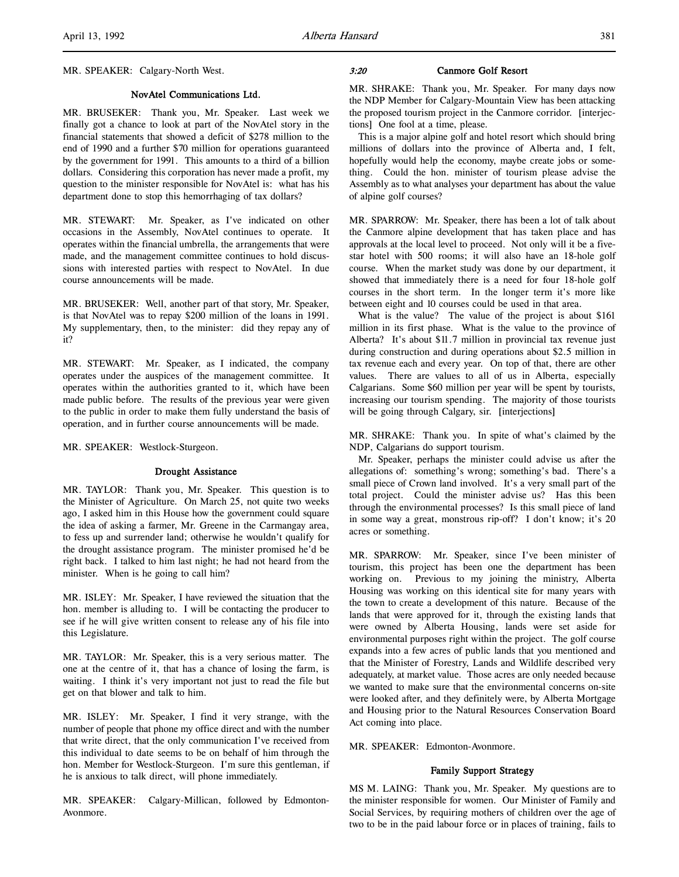### NovAtel Communications Ltd.

MR. BRUSEKER: Thank you, Mr. Speaker. Last week we finally got a chance to look at part of the NovAtel story in the financial statements that showed a deficit of \$278 million to the end of 1990 and a further \$70 million for operations guaranteed by the government for 1991. This amounts to a third of a billion dollars. Considering this corporation has never made a profit, my question to the minister responsible for NovAtel is: what has his department done to stop this hemorrhaging of tax dollars?

MR. STEWART: Mr. Speaker, as I've indicated on other occasions in the Assembly, NovAtel continues to operate. It operates within the financial umbrella, the arrangements that were made, and the management committee continues to hold discussions with interested parties with respect to NovAtel. In due course announcements will be made.

MR. BRUSEKER: Well, another part of that story, Mr. Speaker, is that NovAtel was to repay \$200 million of the loans in 1991. My supplementary, then, to the minister: did they repay any of it?

MR. STEWART: Mr. Speaker, as I indicated, the company operates under the auspices of the management committee. It operates within the authorities granted to it, which have been made public before. The results of the previous year were given to the public in order to make them fully understand the basis of operation, and in further course announcements will be made.

MR. SPEAKER: Westlock-Sturgeon.

# Drought Assistance

MR. TAYLOR: Thank you, Mr. Speaker. This question is to the Minister of Agriculture. On March 25, not quite two weeks ago, I asked him in this House how the government could square the idea of asking a farmer, Mr. Greene in the Carmangay area, to fess up and surrender land; otherwise he wouldn't qualify for the drought assistance program. The minister promised he'd be right back. I talked to him last night; he had not heard from the minister. When is he going to call him?

MR. ISLEY: Mr. Speaker, I have reviewed the situation that the hon. member is alluding to. I will be contacting the producer to see if he will give written consent to release any of his file into this Legislature.

MR. TAYLOR: Mr. Speaker, this is a very serious matter. The one at the centre of it, that has a chance of losing the farm, is waiting. I think it's very important not just to read the file but get on that blower and talk to him.

MR. ISLEY: Mr. Speaker, I find it very strange, with the number of people that phone my office direct and with the number that write direct, that the only communication I've received from this individual to date seems to be on behalf of him through the hon. Member for Westlock-Sturgeon. I'm sure this gentleman, if he is anxious to talk direct, will phone immediately.

MR. SPEAKER: Calgary-Millican, followed by Edmonton-Avonmore.

#### 3:20 Canmore Golf Resort

MR. SHRAKE: Thank you, Mr. Speaker. For many days now the NDP Member for Calgary-Mountain View has been attacking the proposed tourism project in the Canmore corridor. [interjections] One fool at a time, please.

This is a major alpine golf and hotel resort which should bring millions of dollars into the province of Alberta and, I felt, hopefully would help the economy, maybe create jobs or something. Could the hon. minister of tourism please advise the Assembly as to what analyses your department has about the value of alpine golf courses?

MR. SPARROW: Mr. Speaker, there has been a lot of talk about the Canmore alpine development that has taken place and has approvals at the local level to proceed. Not only will it be a fivestar hotel with 500 rooms; it will also have an 18-hole golf course. When the market study was done by our department, it showed that immediately there is a need for four 18-hole golf courses in the short term. In the longer term it's more like between eight and 10 courses could be used in that area.

What is the value? The value of the project is about \$161 million in its first phase. What is the value to the province of Alberta? It's about \$11.7 million in provincial tax revenue just during construction and during operations about \$2.5 million in tax revenue each and every year. On top of that, there are other values. There are values to all of us in Alberta, especially Calgarians. Some \$60 million per year will be spent by tourists, increasing our tourism spending. The majority of those tourists will be going through Calgary, sir. [interjections]

MR. SHRAKE: Thank you. In spite of what's claimed by the NDP, Calgarians do support tourism.

Mr. Speaker, perhaps the minister could advise us after the allegations of: something's wrong; something's bad. There's a small piece of Crown land involved. It's a very small part of the total project. Could the minister advise us? Has this been through the environmental processes? Is this small piece of land in some way a great, monstrous rip-off? I don't know; it's 20 acres or something.

MR. SPARROW: Mr. Speaker, since I've been minister of tourism, this project has been one the department has been working on. Previous to my joining the ministry, Alberta Housing was working on this identical site for many years with the town to create a development of this nature. Because of the lands that were approved for it, through the existing lands that were owned by Alberta Housing, lands were set aside for environmental purposes right within the project. The golf course expands into a few acres of public lands that you mentioned and that the Minister of Forestry, Lands and Wildlife described very adequately, at market value. Those acres are only needed because we wanted to make sure that the environmental concerns on-site were looked after, and they definitely were, by Alberta Mortgage and Housing prior to the Natural Resources Conservation Board Act coming into place.

MR. SPEAKER: Edmonton-Avonmore.

### Family Support Strategy

MS M. LAING: Thank you, Mr. Speaker. My questions are to the minister responsible for women. Our Minister of Family and Social Services, by requiring mothers of children over the age of two to be in the paid labour force or in places of training, fails to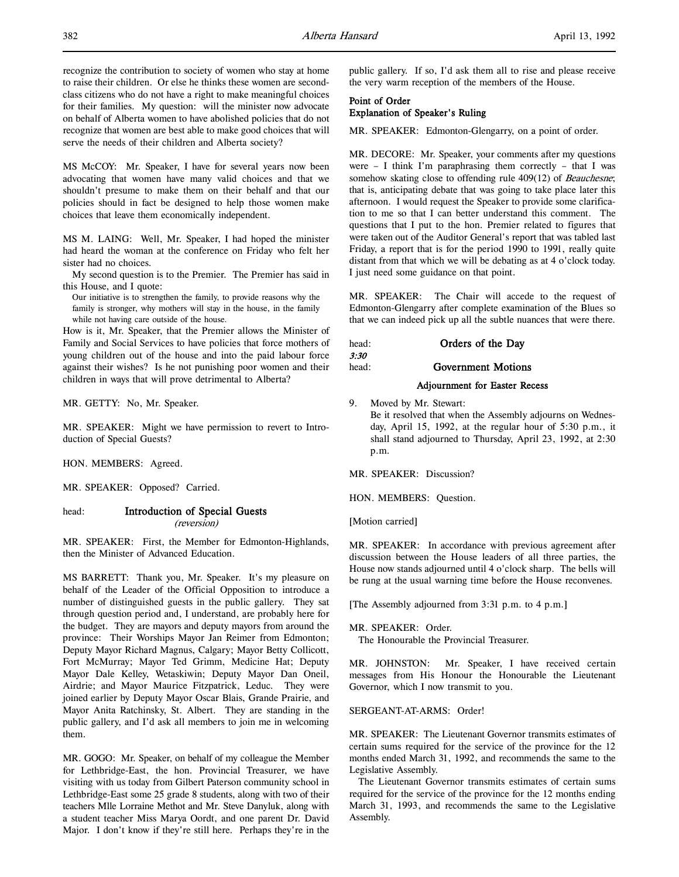recognize the contribution to society of women who stay at home to raise their children. Or else he thinks these women are secondclass citizens who do not have a right to make meaningful choices for their families. My question: will the minister now advocate on behalf of Alberta women to have abolished policies that do not recognize that women are best able to make good choices that will serve the needs of their children and Alberta society?

MS McCOY: Mr. Speaker, I have for several years now been advocating that women have many valid choices and that we shouldn't presume to make them on their behalf and that our policies should in fact be designed to help those women make choices that leave them economically independent.

MS M. LAING: Well, Mr. Speaker, I had hoped the minister had heard the woman at the conference on Friday who felt her sister had no choices.

My second question is to the Premier. The Premier has said in this House, and I quote:

Our initiative is to strengthen the family, to provide reasons why the family is stronger, why mothers will stay in the house, in the family while not having care outside of the house.

How is it, Mr. Speaker, that the Premier allows the Minister of Family and Social Services to have policies that force mothers of young children out of the house and into the paid labour force against their wishes? Is he not punishing poor women and their children in ways that will prove detrimental to Alberta?

MR. GETTY: No, Mr. Speaker.

MR. SPEAKER: Might we have permission to revert to Introduction of Special Guests?

HON. MEMBERS: Agreed.

MR. SPEAKER: Opposed? Carried.

# head: Introduction of Special Guests

(reversion)

MR. SPEAKER: First, the Member for Edmonton-Highlands, then the Minister of Advanced Education.

MS BARRETT: Thank you, Mr. Speaker. It's my pleasure on behalf of the Leader of the Official Opposition to introduce a number of distinguished guests in the public gallery. They sat through question period and, I understand, are probably here for the budget. They are mayors and deputy mayors from around the province: Their Worships Mayor Jan Reimer from Edmonton; Deputy Mayor Richard Magnus, Calgary; Mayor Betty Collicott, Fort McMurray; Mayor Ted Grimm, Medicine Hat; Deputy Mayor Dale Kelley, Wetaskiwin; Deputy Mayor Dan Oneil, Airdrie; and Mayor Maurice Fitzpatrick, Leduc. They were joined earlier by Deputy Mayor Oscar Blais, Grande Prairie, and Mayor Anita Ratchinsky, St. Albert. They are standing in the public gallery, and I'd ask all members to join me in welcoming them.

MR. GOGO: Mr. Speaker, on behalf of my colleague the Member for Lethbridge-East, the hon. Provincial Treasurer, we have visiting with us today from Gilbert Paterson community school in Lethbridge-East some 25 grade 8 students, along with two of their teachers Mlle Lorraine Methot and Mr. Steve Danyluk, along with a student teacher Miss Marya Oordt, and one parent Dr. David Major. I don't know if they're still here. Perhaps they're in the public gallery. If so, I'd ask them all to rise and please receive the very warm reception of the members of the House.

# Point of Order Explanation of Speaker's Ruling

MR. SPEAKER: Edmonton-Glengarry, on a point of order.

MR. DECORE: Mr. Speaker, your comments after my questions were – I think I'm paraphrasing them correctly – that I was somehow skating close to offending rule 409(12) of *Beauchesne*; that is, anticipating debate that was going to take place later this afternoon. I would request the Speaker to provide some clarification to me so that I can better understand this comment. The questions that I put to the hon. Premier related to figures that were taken out of the Auditor General's report that was tabled last Friday, a report that is for the period 1990 to 1991, really quite distant from that which we will be debating as at 4 o'clock today. I just need some guidance on that point.

MR. SPEAKER: The Chair will accede to the request of Edmonton-Glengarry after complete examination of the Blues so that we can indeed pick up all the subtle nuances that were there.

head: **Orders of the Day** 3:30 head: **Government Motions** 

### Adjournment for Easter Recess

9. Moved by Mr. Stewart:

Be it resolved that when the Assembly adjourns on Wednesday, April 15, 1992, at the regular hour of 5:30 p.m., it shall stand adjourned to Thursday, April 23, 1992, at 2:30 p.m.

MR. SPEAKER: Discussion?

HON. MEMBERS: Question.

[Motion carried]

MR. SPEAKER: In accordance with previous agreement after discussion between the House leaders of all three parties, the House now stands adjourned until 4 o'clock sharp. The bells will be rung at the usual warning time before the House reconvenes.

[The Assembly adjourned from 3:31 p.m. to 4 p.m.]

### MR. SPEAKER: Order.

The Honourable the Provincial Treasurer.

MR. JOHNSTON: Mr. Speaker, I have received certain messages from His Honour the Honourable the Lieutenant Governor, which I now transmit to you.

# SERGEANT-AT-ARMS: Order!

MR. SPEAKER: The Lieutenant Governor transmits estimates of certain sums required for the service of the province for the 12 months ended March 31, 1992, and recommends the same to the Legislative Assembly.

The Lieutenant Governor transmits estimates of certain sums required for the service of the province for the 12 months ending March 31, 1993, and recommends the same to the Legislative Assembly.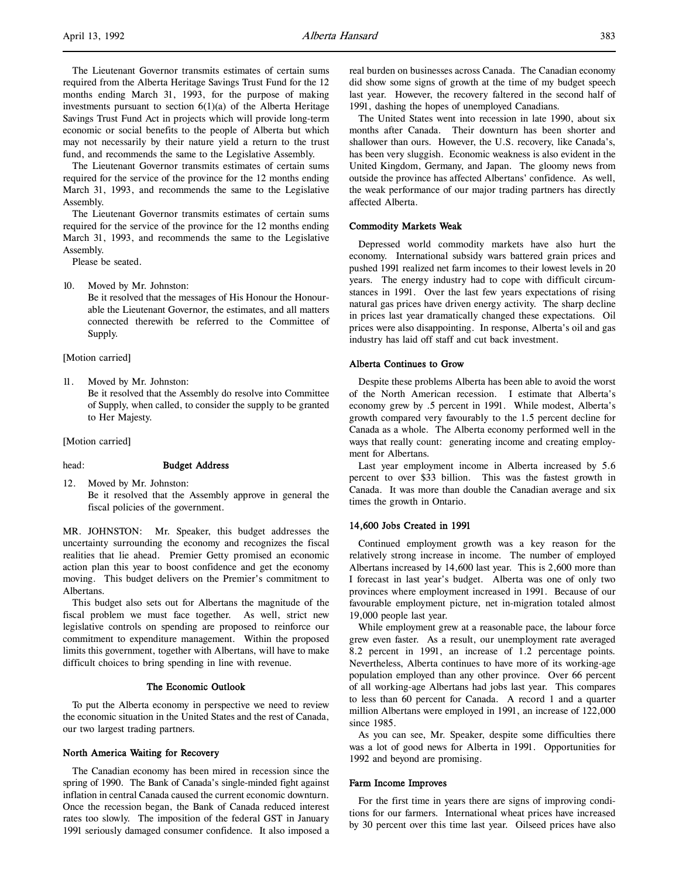The Lieutenant Governor transmits estimates of certain sums required from the Alberta Heritage Savings Trust Fund for the 12 months ending March 31, 1993, for the purpose of making investments pursuant to section  $6(1)(a)$  of the Alberta Heritage Savings Trust Fund Act in projects which will provide long-term economic or social benefits to the people of Alberta but which may not necessarily by their nature yield a return to the trust fund, and recommends the same to the Legislative Assembly.

The Lieutenant Governor transmits estimates of certain sums required for the service of the province for the 12 months ending March 31, 1993, and recommends the same to the Legislative Assembly.

The Lieutenant Governor transmits estimates of certain sums required for the service of the province for the 12 months ending March 31, 1993, and recommends the same to the Legislative Assembly.

Please be seated.

10. Moved by Mr. Johnston:

Be it resolved that the messages of His Honour the Honourable the Lieutenant Governor, the estimates, and all matters connected therewith be referred to the Committee of Supply.

[Motion carried]

11. Moved by Mr. Johnston: Be it resolved that the Assembly do resolve into Committee of Supply, when called, to consider the supply to be granted to Her Majesty.

[Motion carried]

### head: Budget Address

12. Moved by Mr. Johnston: Be it resolved that the Assembly approve in general the fiscal policies of the government.

MR. JOHNSTON: Mr. Speaker, this budget addresses the uncertainty surrounding the economy and recognizes the fiscal realities that lie ahead. Premier Getty promised an economic action plan this year to boost confidence and get the economy moving. This budget delivers on the Premier's commitment to Albertans.

This budget also sets out for Albertans the magnitude of the fiscal problem we must face together. As well, strict new legislative controls on spending are proposed to reinforce our commitment to expenditure management. Within the proposed limits this government, together with Albertans, will have to make difficult choices to bring spending in line with revenue.

## The Economic Outlook

To put the Alberta economy in perspective we need to review the economic situation in the United States and the rest of Canada, our two largest trading partners.

### North America Waiting for Recovery

The Canadian economy has been mired in recession since the spring of 1990. The Bank of Canada's single-minded fight against inflation in central Canada caused the current economic downturn. Once the recession began, the Bank of Canada reduced interest rates too slowly. The imposition of the federal GST in January 1991 seriously damaged consumer confidence. It also imposed a

real burden on businesses across Canada. The Canadian economy did show some signs of growth at the time of my budget speech last year. However, the recovery faltered in the second half of 1991, dashing the hopes of unemployed Canadians.

The United States went into recession in late 1990, about six months after Canada. Their downturn has been shorter and shallower than ours. However, the U.S. recovery, like Canada's, has been very sluggish. Economic weakness is also evident in the United Kingdom, Germany, and Japan. The gloomy news from outside the province has affected Albertans' confidence. As well, the weak performance of our major trading partners has directly affected Alberta.

## Commodity Markets Weak

Depressed world commodity markets have also hurt the economy. International subsidy wars battered grain prices and pushed 1991 realized net farm incomes to their lowest levels in 20 years. The energy industry had to cope with difficult circumstances in 1991. Over the last few years expectations of rising natural gas prices have driven energy activity. The sharp decline in prices last year dramatically changed these expectations. Oil prices were also disappointing. In response, Alberta's oil and gas industry has laid off staff and cut back investment.

### Alberta Continues to Grow

Despite these problems Alberta has been able to avoid the worst of the North American recession. I estimate that Alberta's economy grew by .5 percent in 1991. While modest, Alberta's growth compared very favourably to the 1.5 percent decline for Canada as a whole. The Alberta economy performed well in the ways that really count: generating income and creating employment for Albertans.

Last year employment income in Alberta increased by 5.6 percent to over \$33 billion. This was the fastest growth in Canada. It was more than double the Canadian average and six times the growth in Ontario.

#### 14,600 Jobs Created in 1991

Continued employment growth was a key reason for the relatively strong increase in income. The number of employed Albertans increased by 14,600 last year. This is 2,600 more than I forecast in last year's budget. Alberta was one of only two provinces where employment increased in 1991. Because of our favourable employment picture, net in-migration totaled almost 19,000 people last year.

While employment grew at a reasonable pace, the labour force grew even faster. As a result, our unemployment rate averaged 8.2 percent in 1991, an increase of 1.2 percentage points. Nevertheless, Alberta continues to have more of its working-age population employed than any other province. Over 66 percent of all working-age Albertans had jobs last year. This compares to less than 60 percent for Canada. A record 1 and a quarter million Albertans were employed in 1991, an increase of 122,000 since 1985.

As you can see, Mr. Speaker, despite some difficulties there was a lot of good news for Alberta in 1991. Opportunities for 1992 and beyond are promising.

### Farm Income Improves

For the first time in years there are signs of improving conditions for our farmers. International wheat prices have increased by 30 percent over this time last year. Oilseed prices have also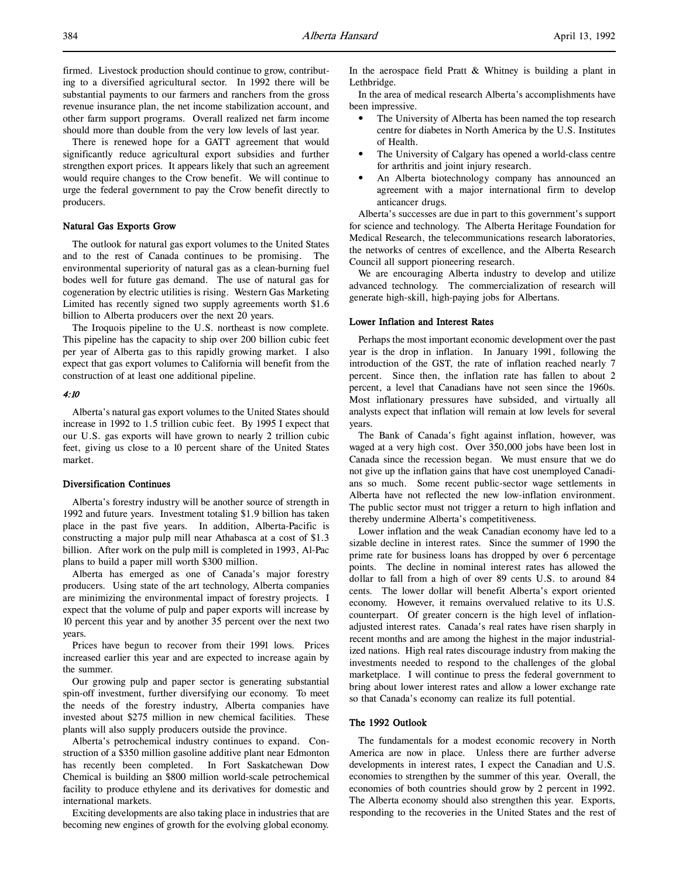firmed. Livestock production should continue to grow, contributing to a diversified agricultural sector. In 1992 there will be substantial payments to our farmers and ranchers from the gross revenue insurance plan, the net income stabilization account, and other farm support programs. Overall realized net farm income should more than double from the very low levels of last year.

There is renewed hope for a GATT agreement that would significantly reduce agricultural export subsidies and further strengthen export prices. It appears likely that such an agreement would require changes to the Crow benefit. We will continue to urge the federal government to pay the Crow benefit directly to producers.

# Natural Gas Exports Grow

The outlook for natural gas export volumes to the United States and to the rest of Canada continues to be promising. The environmental superiority of natural gas as a clean-burning fuel bodes well for future gas demand. The use of natural gas for cogeneration by electric utilities is rising. Western Gas Marketing Limited has recently signed two supply agreements worth \$1.6 billion to Alberta producers over the next 20 years.

The Iroquois pipeline to the U.S. northeast is now complete. This pipeline has the capacity to ship over 200 billion cubic feet per year of Alberta gas to this rapidly growing market. I also expect that gas export volumes to California will benefit from the construction of at least one additional pipeline.

### 4:10

Alberta's natural gas export volumes to the United States should increase in 1992 to 1.5 trillion cubic feet. By 1995 I expect that our U.S. gas exports will have grown to nearly 2 trillion cubic feet, giving us close to a 10 percent share of the United States market.

### Diversification Continues

Alberta's forestry industry will be another source of strength in 1992 and future years. Investment totaling \$1.9 billion has taken place in the past five years. In addition, Alberta-Pacific is constructing a major pulp mill near Athabasca at a cost of \$1.3 billion. After work on the pulp mill is completed in 1993, Al-Pac plans to build a paper mill worth \$300 million.

Alberta has emerged as one of Canada's major forestry producers. Using state of the art technology, Alberta companies are minimizing the environmental impact of forestry projects. I expect that the volume of pulp and paper exports will increase by 10 percent this year and by another 35 percent over the next two years.

Prices have begun to recover from their 1991 lows. Prices increased earlier this year and are expected to increase again by the summer.

Our growing pulp and paper sector is generating substantial spin-off investment, further diversifying our economy. To meet the needs of the forestry industry, Alberta companies have invested about \$275 million in new chemical facilities. These plants will also supply producers outside the province.

Alberta's petrochemical industry continues to expand. Construction of a \$350 million gasoline additive plant near Edmonton has recently been completed. In Fort Saskatchewan Dow Chemical is building an \$800 million world-scale petrochemical facility to produce ethylene and its derivatives for domestic and international markets.

Exciting developments are also taking place in industries that are becoming new engines of growth for the evolving global economy. In the aerospace field Pratt & Whitney is building a plant in Lethbridge.

In the area of medical research Alberta's accomplishments have been impressive.

- The University of Alberta has been named the top research centre for diabetes in North America by the U.S. Institutes of Health.
- The University of Calgary has opened a world-class centre for arthritis and joint injury research.
- An Alberta biotechnology company has announced an agreement with a major international firm to develop anticancer drugs.

Alberta's successes are due in part to this government's support for science and technology. The Alberta Heritage Foundation for Medical Research, the telecommunications research laboratories, the networks of centres of excellence, and the Alberta Research Council all support pioneering research.

We are encouraging Alberta industry to develop and utilize advanced technology. The commercialization of research will generate high-skill, high-paying jobs for Albertans.

### Lower Inflation and Interest Rates

Perhaps the most important economic development over the past year is the drop in inflation. In January 1991, following the introduction of the GST, the rate of inflation reached nearly 7 percent. Since then, the inflation rate has fallen to about 2 percent, a level that Canadians have not seen since the 1960s. Most inflationary pressures have subsided, and virtually all analysts expect that inflation will remain at low levels for several years.

The Bank of Canada's fight against inflation, however, was waged at a very high cost. Over 350,000 jobs have been lost in Canada since the recession began. We must ensure that we do not give up the inflation gains that have cost unemployed Canadians so much. Some recent public-sector wage settlements in Alberta have not reflected the new low-inflation environment. The public sector must not trigger a return to high inflation and thereby undermine Alberta's competitiveness.

Lower inflation and the weak Canadian economy have led to a sizable decline in interest rates. Since the summer of 1990 the prime rate for business loans has dropped by over 6 percentage points. The decline in nominal interest rates has allowed the dollar to fall from a high of over 89 cents U.S. to around 84 cents. The lower dollar will benefit Alberta's export oriented economy. However, it remains overvalued relative to its U.S. counterpart. Of greater concern is the high level of inflationadjusted interest rates. Canada's real rates have risen sharply in recent months and are among the highest in the major industrialized nations. High real rates discourage industry from making the investments needed to respond to the challenges of the global marketplace. I will continue to press the federal government to bring about lower interest rates and allow a lower exchange rate so that Canada's economy can realize its full potential.

### The 1992 Outlook

The fundamentals for a modest economic recovery in North America are now in place. Unless there are further adverse developments in interest rates, I expect the Canadian and U.S. economies to strengthen by the summer of this year. Overall, the economies of both countries should grow by 2 percent in 1992. The Alberta economy should also strengthen this year. Exports, responding to the recoveries in the United States and the rest of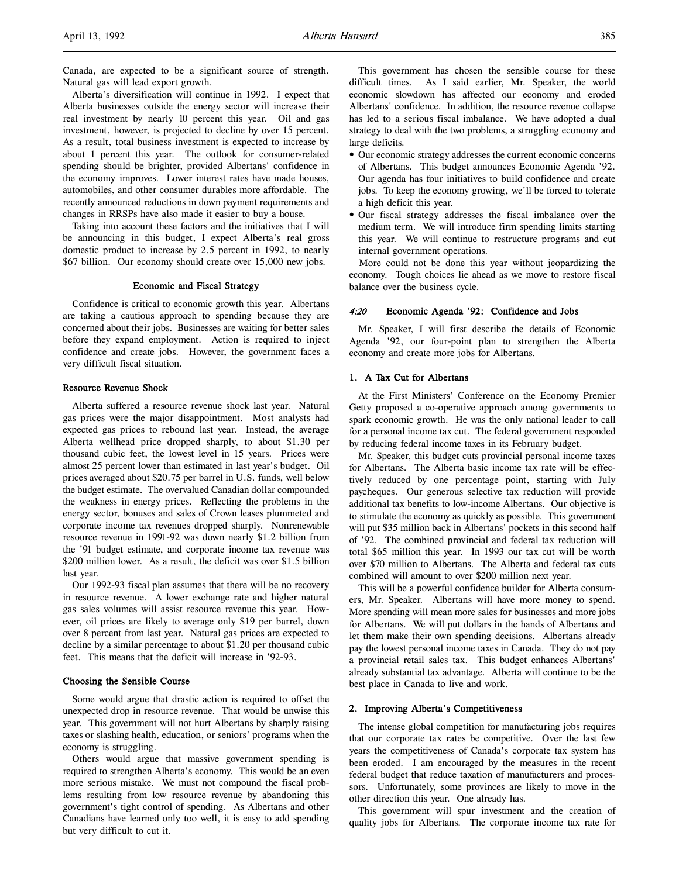Alberta's diversification will continue in 1992. I expect that Alberta businesses outside the energy sector will increase their real investment by nearly 10 percent this year. Oil and gas investment, however, is projected to decline by over 15 percent. As a result, total business investment is expected to increase by about 1 percent this year. The outlook for consumer-related spending should be brighter, provided Albertans' confidence in the economy improves. Lower interest rates have made houses, automobiles, and other consumer durables more affordable. The recently announced reductions in down payment requirements and changes in RRSPs have also made it easier to buy a house.

Taking into account these factors and the initiatives that I will be announcing in this budget, I expect Alberta's real gross domestic product to increase by 2.5 percent in 1992, to nearly \$67 billion. Our economy should create over 15,000 new jobs.

## Economic and Fiscal Strategy

Confidence is critical to economic growth this year. Albertans are taking a cautious approach to spending because they are concerned about their jobs. Businesses are waiting for better sales before they expand employment. Action is required to inject confidence and create jobs. However, the government faces a very difficult fiscal situation.

### Resource Revenue Shock

Alberta suffered a resource revenue shock last year. Natural gas prices were the major disappointment. Most analysts had expected gas prices to rebound last year. Instead, the average Alberta wellhead price dropped sharply, to about \$1.30 per thousand cubic feet, the lowest level in 15 years. Prices were almost 25 percent lower than estimated in last year's budget. Oil prices averaged about \$20.75 per barrel in U.S. funds, well below the budget estimate. The overvalued Canadian dollar compounded the weakness in energy prices. Reflecting the problems in the energy sector, bonuses and sales of Crown leases plummeted and corporate income tax revenues dropped sharply. Nonrenewable resource revenue in 1991-92 was down nearly \$1.2 billion from the '91 budget estimate, and corporate income tax revenue was \$200 million lower. As a result, the deficit was over \$1.5 billion last year.

Our 1992-93 fiscal plan assumes that there will be no recovery in resource revenue. A lower exchange rate and higher natural gas sales volumes will assist resource revenue this year. However, oil prices are likely to average only \$19 per barrel, down over 8 percent from last year. Natural gas prices are expected to decline by a similar percentage to about \$1.20 per thousand cubic feet. This means that the deficit will increase in '92-93.

# Choosing the Sensible Course

Some would argue that drastic action is required to offset the unexpected drop in resource revenue. That would be unwise this year. This government will not hurt Albertans by sharply raising taxes or slashing health, education, or seniors' programs when the economy is struggling.

Others would argue that massive government spending is required to strengthen Alberta's economy. This would be an even more serious mistake. We must not compound the fiscal problems resulting from low resource revenue by abandoning this government's tight control of spending. As Albertans and other Canadians have learned only too well, it is easy to add spending but very difficult to cut it.

This government has chosen the sensible course for these difficult times. As I said earlier, Mr. Speaker, the world economic slowdown has affected our economy and eroded Albertans' confidence. In addition, the resource revenue collapse has led to a serious fiscal imbalance. We have adopted a dual strategy to deal with the two problems, a struggling economy and large deficits.

- Our economic strategy addresses the current economic concerns of Albertans. This budget announces Economic Agenda '92. Our agenda has four initiatives to build confidence and create jobs. To keep the economy growing, we'll be forced to tolerate a high deficit this year.
- Our fiscal strategy addresses the fiscal imbalance over the medium term. We will introduce firm spending limits starting this year. We will continue to restructure programs and cut internal government operations.

 More could not be done this year without jeopardizing the economy. Tough choices lie ahead as we move to restore fiscal balance over the business cycle.

## 4:20 Economic Agenda '92: Confidence and Jobs

Mr. Speaker, I will first describe the details of Economic Agenda '92, our four-point plan to strengthen the Alberta economy and create more jobs for Albertans.

## 1. A Tax Cut for Albertans

At the First Ministers' Conference on the Economy Premier Getty proposed a co-operative approach among governments to spark economic growth. He was the only national leader to call for a personal income tax cut. The federal government responded by reducing federal income taxes in its February budget.

Mr. Speaker, this budget cuts provincial personal income taxes for Albertans. The Alberta basic income tax rate will be effectively reduced by one percentage point, starting with July paycheques. Our generous selective tax reduction will provide additional tax benefits to low-income Albertans. Our objective is to stimulate the economy as quickly as possible. This government will put \$35 million back in Albertans' pockets in this second half of '92. The combined provincial and federal tax reduction will total \$65 million this year. In 1993 our tax cut will be worth over \$70 million to Albertans. The Alberta and federal tax cuts combined will amount to over \$200 million next year.

This will be a powerful confidence builder for Alberta consumers, Mr. Speaker. Albertans will have more money to spend. More spending will mean more sales for businesses and more jobs for Albertans. We will put dollars in the hands of Albertans and let them make their own spending decisions. Albertans already pay the lowest personal income taxes in Canada. They do not pay a provincial retail sales tax. This budget enhances Albertans' already substantial tax advantage. Alberta will continue to be the best place in Canada to live and work.

### 2. Improving Alberta's Competitiveness

The intense global competition for manufacturing jobs requires that our corporate tax rates be competitive. Over the last few years the competitiveness of Canada's corporate tax system has been eroded. I am encouraged by the measures in the recent federal budget that reduce taxation of manufacturers and processors. Unfortunately, some provinces are likely to move in the other direction this year. One already has.

This government will spur investment and the creation of quality jobs for Albertans. The corporate income tax rate for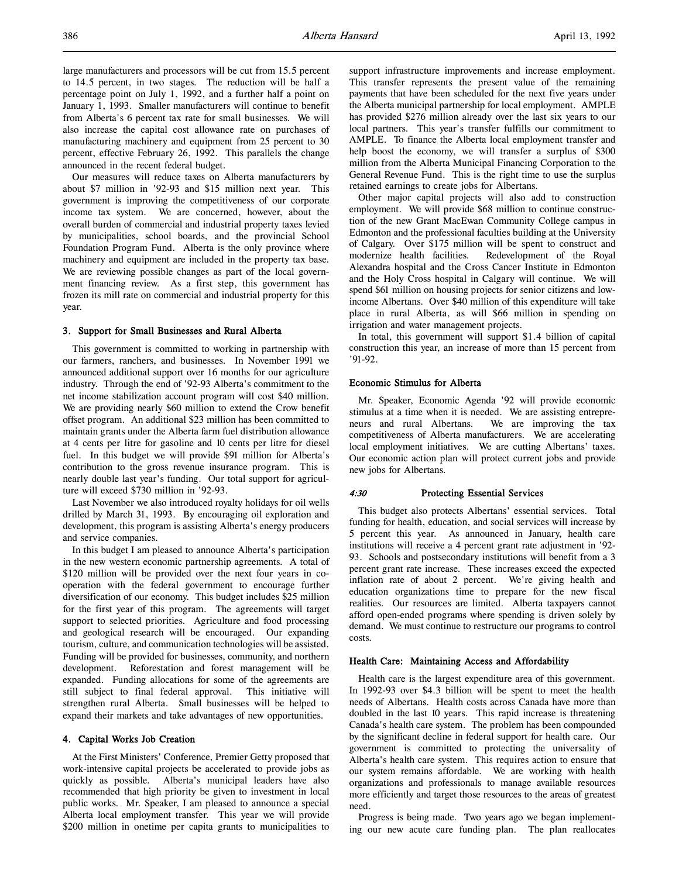large manufacturers and processors will be cut from 15.5 percent to 14.5 percent, in two stages. The reduction will be half a percentage point on July 1, 1992, and a further half a point on January 1, 1993. Smaller manufacturers will continue to benefit from Alberta's 6 percent tax rate for small businesses. We will also increase the capital cost allowance rate on purchases of manufacturing machinery and equipment from 25 percent to 30 percent, effective February 26, 1992. This parallels the change announced in the recent federal budget.

Our measures will reduce taxes on Alberta manufacturers by about \$7 million in '92-93 and \$15 million next year. This government is improving the competitiveness of our corporate income tax system. We are concerned, however, about the overall burden of commercial and industrial property taxes levied by municipalities, school boards, and the provincial School Foundation Program Fund. Alberta is the only province where machinery and equipment are included in the property tax base. We are reviewing possible changes as part of the local government financing review. As a first step, this government has frozen its mill rate on commercial and industrial property for this year.

## 3. Support for Small Businesses and Rural Alberta

This government is committed to working in partnership with our farmers, ranchers, and businesses. In November 1991 we announced additional support over 16 months for our agriculture industry. Through the end of '92-93 Alberta's commitment to the net income stabilization account program will cost \$40 million. We are providing nearly \$60 million to extend the Crow benefit offset program. An additional \$23 million has been committed to maintain grants under the Alberta farm fuel distribution allowance at 4 cents per litre for gasoline and 10 cents per litre for diesel fuel. In this budget we will provide \$91 million for Alberta's contribution to the gross revenue insurance program. This is nearly double last year's funding. Our total support for agriculture will exceed \$730 million in '92-93.

Last November we also introduced royalty holidays for oil wells drilled by March 31, 1993. By encouraging oil exploration and development, this program is assisting Alberta's energy producers and service companies.

In this budget I am pleased to announce Alberta's participation in the new western economic partnership agreements. A total of \$120 million will be provided over the next four years in cooperation with the federal government to encourage further diversification of our economy. This budget includes \$25 million for the first year of this program. The agreements will target support to selected priorities. Agriculture and food processing and geological research will be encouraged. Our expanding tourism, culture, and communication technologies will be assisted. Funding will be provided for businesses, community, and northern development. Reforestation and forest management will be expanded. Funding allocations for some of the agreements are still subject to final federal approval. This initiative will strengthen rural Alberta. Small businesses will be helped to expand their markets and take advantages of new opportunities.

### 4. Capital Works Job Creation

At the First Ministers' Conference, Premier Getty proposed that work-intensive capital projects be accelerated to provide jobs as quickly as possible. Alberta's municipal leaders have also recommended that high priority be given to investment in local public works. Mr. Speaker, I am pleased to announce a special Alberta local employment transfer. This year we will provide \$200 million in onetime per capita grants to municipalities to support infrastructure improvements and increase employment. This transfer represents the present value of the remaining payments that have been scheduled for the next five years under the Alberta municipal partnership for local employment. AMPLE has provided \$276 million already over the last six years to our local partners. This year's transfer fulfills our commitment to AMPLE. To finance the Alberta local employment transfer and help boost the economy, we will transfer a surplus of \$300 million from the Alberta Municipal Financing Corporation to the General Revenue Fund. This is the right time to use the surplus retained earnings to create jobs for Albertans.

Other major capital projects will also add to construction employment. We will provide \$68 million to continue construction of the new Grant MacEwan Community College campus in Edmonton and the professional faculties building at the University of Calgary. Over \$175 million will be spent to construct and modernize health facilities. Redevelopment of the Royal Alexandra hospital and the Cross Cancer Institute in Edmonton and the Holy Cross hospital in Calgary will continue. We will spend \$61 million on housing projects for senior citizens and lowincome Albertans. Over \$40 million of this expenditure will take place in rural Alberta, as will \$66 million in spending on irrigation and water management projects.

In total, this government will support \$1.4 billion of capital construction this year, an increase of more than 15 percent from '91-92.

## Economic Stimulus for Alberta

Mr. Speaker, Economic Agenda '92 will provide economic stimulus at a time when it is needed. We are assisting entrepreneurs and rural Albertans. We are improving the tax competitiveness of Alberta manufacturers. We are accelerating local employment initiatives. We are cutting Albertans' taxes. Our economic action plan will protect current jobs and provide new jobs for Albertans.

## 4:30 Protecting Essential Services

This budget also protects Albertans' essential services. Total funding for health, education, and social services will increase by 5 percent this year. As announced in January, health care institutions will receive a 4 percent grant rate adjustment in '92- 93. Schools and postsecondary institutions will benefit from a 3 percent grant rate increase. These increases exceed the expected inflation rate of about 2 percent. We're giving health and education organizations time to prepare for the new fiscal realities. Our resources are limited. Alberta taxpayers cannot afford open-ended programs where spending is driven solely by demand. We must continue to restructure our programs to control costs.

### Health Care: Maintaining Access and Affordability

Health care is the largest expenditure area of this government. In 1992-93 over \$4.3 billion will be spent to meet the health needs of Albertans. Health costs across Canada have more than doubled in the last 10 years. This rapid increase is threatening Canada's health care system. The problem has been compounded by the significant decline in federal support for health care. Our government is committed to protecting the universality of Alberta's health care system. This requires action to ensure that our system remains affordable. We are working with health organizations and professionals to manage available resources more efficiently and target those resources to the areas of greatest need.

Progress is being made. Two years ago we began implementing our new acute care funding plan. The plan reallocates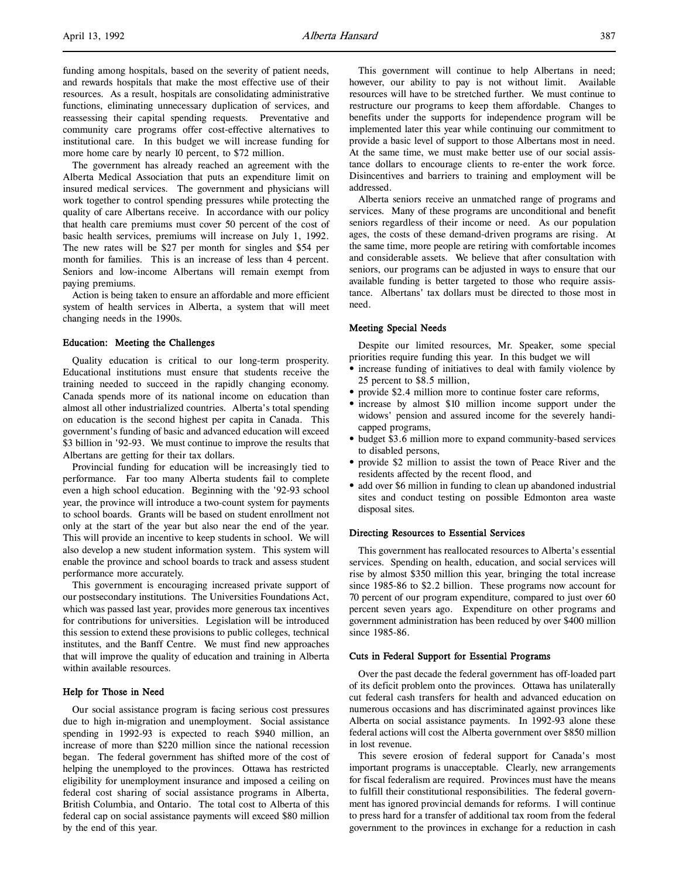funding among hospitals, based on the severity of patient needs, and rewards hospitals that make the most effective use of their resources. As a result, hospitals are consolidating administrative functions, eliminating unnecessary duplication of services, and reassessing their capital spending requests. Preventative and community care programs offer cost-effective alternatives to institutional care. In this budget we will increase funding for more home care by nearly 10 percent, to \$72 million.

The government has already reached an agreement with the Alberta Medical Association that puts an expenditure limit on insured medical services. The government and physicians will work together to control spending pressures while protecting the quality of care Albertans receive. In accordance with our policy that health care premiums must cover 50 percent of the cost of basic health services, premiums will increase on July 1, 1992. The new rates will be \$27 per month for singles and \$54 per month for families. This is an increase of less than 4 percent. Seniors and low-income Albertans will remain exempt from paying premiums.

Action is being taken to ensure an affordable and more efficient system of health services in Alberta, a system that will meet changing needs in the 1990s.

## Education: Meeting the Challenges

Quality education is critical to our long-term prosperity. Educational institutions must ensure that students receive the training needed to succeed in the rapidly changing economy. Canada spends more of its national income on education than almost all other industrialized countries. Alberta's total spending on education is the second highest per capita in Canada. This government's funding of basic and advanced education will exceed \$3 billion in '92-93. We must continue to improve the results that Albertans are getting for their tax dollars.

Provincial funding for education will be increasingly tied to performance. Far too many Alberta students fail to complete even a high school education. Beginning with the '92-93 school year, the province will introduce a two-count system for payments to school boards. Grants will be based on student enrollment not only at the start of the year but also near the end of the year. This will provide an incentive to keep students in school. We will also develop a new student information system. This system will enable the province and school boards to track and assess student performance more accurately.

This government is encouraging increased private support of our postsecondary institutions. The Universities Foundations Act, which was passed last year, provides more generous tax incentives for contributions for universities. Legislation will be introduced this session to extend these provisions to public colleges, technical institutes, and the Banff Centre. We must find new approaches that will improve the quality of education and training in Alberta within available resources.

### Help for Those in Need

Our social assistance program is facing serious cost pressures due to high in-migration and unemployment. Social assistance spending in 1992-93 is expected to reach \$940 million, an increase of more than \$220 million since the national recession began. The federal government has shifted more of the cost of helping the unemployed to the provinces. Ottawa has restricted eligibility for unemployment insurance and imposed a ceiling on federal cost sharing of social assistance programs in Alberta, British Columbia, and Ontario. The total cost to Alberta of this federal cap on social assistance payments will exceed \$80 million by the end of this year.

This government will continue to help Albertans in need; however, our ability to pay is not without limit. Available resources will have to be stretched further. We must continue to restructure our programs to keep them affordable. Changes to benefits under the supports for independence program will be implemented later this year while continuing our commitment to provide a basic level of support to those Albertans most in need. At the same time, we must make better use of our social assistance dollars to encourage clients to re-enter the work force. Disincentives and barriers to training and employment will be addressed.

Alberta seniors receive an unmatched range of programs and services. Many of these programs are unconditional and benefit seniors regardless of their income or need. As our population ages, the costs of these demand-driven programs are rising. At the same time, more people are retiring with comfortable incomes and considerable assets. We believe that after consultation with seniors, our programs can be adjusted in ways to ensure that our available funding is better targeted to those who require assistance. Albertans' tax dollars must be directed to those most in need.

## Meeting Special Needs

Despite our limited resources, Mr. Speaker, some special priorities require funding this year. In this budget we will

- increase funding of initiatives to deal with family violence by 25 percent to \$8.5 million,
- provide \$2.4 million more to continue foster care reforms,
- increase by almost \$10 million income support under the widows' pension and assured income for the severely handicapped programs,
- budget \$3.6 million more to expand community-based services to disabled persons,
- provide \$2 million to assist the town of Peace River and the residents affected by the recent flood, and
- add over \$6 million in funding to clean up abandoned industrial sites and conduct testing on possible Edmonton area waste disposal sites.

## Directing Resources to Essential Services

This government has reallocated resources to Alberta's essential services. Spending on health, education, and social services will rise by almost \$350 million this year, bringing the total increase since 1985-86 to \$2.2 billion. These programs now account for 70 percent of our program expenditure, compared to just over 60 percent seven years ago. Expenditure on other programs and government administration has been reduced by over \$400 million since 1985-86.

## Cuts in Federal Support for Essential Programs

Over the past decade the federal government has off-loaded part of its deficit problem onto the provinces. Ottawa has unilaterally cut federal cash transfers for health and advanced education on numerous occasions and has discriminated against provinces like Alberta on social assistance payments. In 1992-93 alone these federal actions will cost the Alberta government over \$850 million in lost revenue.

This severe erosion of federal support for Canada's most important programs is unacceptable. Clearly, new arrangements for fiscal federalism are required. Provinces must have the means to fulfill their constitutional responsibilities. The federal government has ignored provincial demands for reforms. I will continue to press hard for a transfer of additional tax room from the federal government to the provinces in exchange for a reduction in cash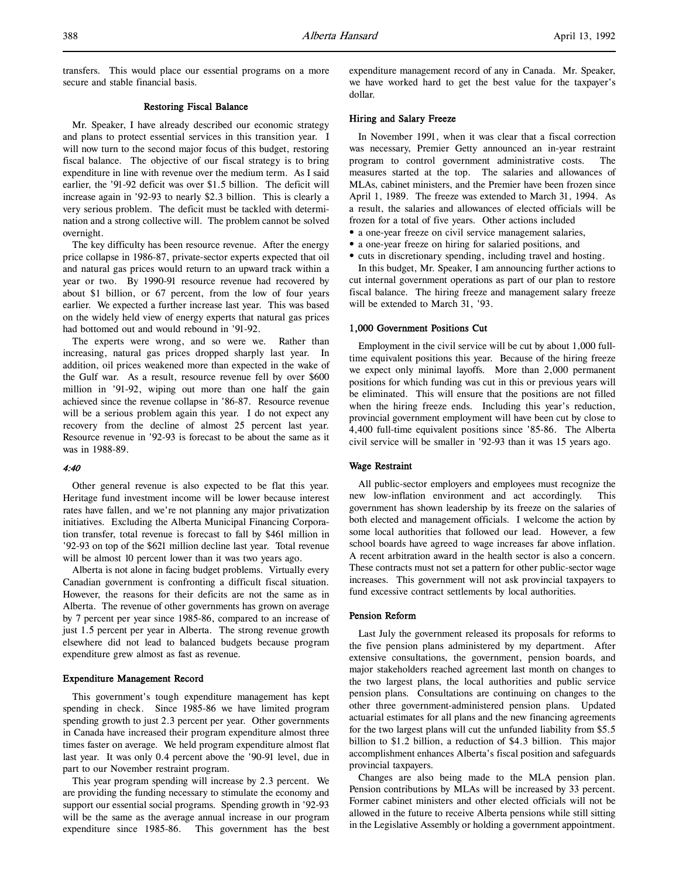transfers. This would place our essential programs on a more secure and stable financial basis.

# Restoring Fiscal Balance

Mr. Speaker, I have already described our economic strategy and plans to protect essential services in this transition year. I will now turn to the second major focus of this budget, restoring fiscal balance. The objective of our fiscal strategy is to bring expenditure in line with revenue over the medium term. As I said earlier, the '91-92 deficit was over \$1.5 billion. The deficit will increase again in '92-93 to nearly \$2.3 billion. This is clearly a very serious problem. The deficit must be tackled with determination and a strong collective will. The problem cannot be solved overnight.

The key difficulty has been resource revenue. After the energy price collapse in 1986-87, private-sector experts expected that oil and natural gas prices would return to an upward track within a year or two. By 1990-91 resource revenue had recovered by about \$1 billion, or 67 percent, from the low of four years earlier. We expected a further increase last year. This was based on the widely held view of energy experts that natural gas prices had bottomed out and would rebound in '91-92.

The experts were wrong, and so were we. Rather than increasing, natural gas prices dropped sharply last year. In addition, oil prices weakened more than expected in the wake of the Gulf war. As a result, resource revenue fell by over \$600 million in '91-92, wiping out more than one half the gain achieved since the revenue collapse in '86-87. Resource revenue will be a serious problem again this year. I do not expect any recovery from the decline of almost 25 percent last year. Resource revenue in '92-93 is forecast to be about the same as it was in 1988-89.

## 4:40

Other general revenue is also expected to be flat this year. Heritage fund investment income will be lower because interest rates have fallen, and we're not planning any major privatization initiatives. Excluding the Alberta Municipal Financing Corporation transfer, total revenue is forecast to fall by \$461 million in '92-93 on top of the \$621 million decline last year. Total revenue will be almost 10 percent lower than it was two years ago.

Alberta is not alone in facing budget problems. Virtually every Canadian government is confronting a difficult fiscal situation. However, the reasons for their deficits are not the same as in Alberta. The revenue of other governments has grown on average by 7 percent per year since 1985-86, compared to an increase of just 1.5 percent per year in Alberta. The strong revenue growth elsewhere did not lead to balanced budgets because program expenditure grew almost as fast as revenue.

### Expenditure Management Record

This government's tough expenditure management has kept spending in check. Since 1985-86 we have limited program spending growth to just 2.3 percent per year. Other governments in Canada have increased their program expenditure almost three times faster on average. We held program expenditure almost flat last year. It was only 0.4 percent above the '90-91 level, due in part to our November restraint program.

This year program spending will increase by 2.3 percent. We are providing the funding necessary to stimulate the economy and support our essential social programs. Spending growth in '92-93 will be the same as the average annual increase in our program expenditure since 1985-86. This government has the best

expenditure management record of any in Canada. Mr. Speaker, we have worked hard to get the best value for the taxpayer's dollar.

### Hiring and Salary Freeze

In November 1991, when it was clear that a fiscal correction was necessary, Premier Getty announced an in-year restraint program to control government administrative costs. The measures started at the top. The salaries and allowances of MLAs, cabinet ministers, and the Premier have been frozen since April 1, 1989. The freeze was extended to March 31, 1994. As a result, the salaries and allowances of elected officials will be frozen for a total of five years. Other actions included

- a one-year freeze on civil service management salaries,
- a one-year freeze on hiring for salaried positions, and
- cuts in discretionary spending, including travel and hosting.

In this budget, Mr. Speaker, I am announcing further actions to cut internal government operations as part of our plan to restore fiscal balance. The hiring freeze and management salary freeze will be extended to March 31, '93.

# 1,000 Government Positions Cut

Employment in the civil service will be cut by about 1,000 fulltime equivalent positions this year. Because of the hiring freeze we expect only minimal layoffs. More than 2,000 permanent positions for which funding was cut in this or previous years will be eliminated. This will ensure that the positions are not filled when the hiring freeze ends. Including this year's reduction, provincial government employment will have been cut by close to 4,400 full-time equivalent positions since '85-86. The Alberta civil service will be smaller in '92-93 than it was 15 years ago.

### Wage Restraint

All public-sector employers and employees must recognize the new low-inflation environment and act accordingly. This government has shown leadership by its freeze on the salaries of both elected and management officials. I welcome the action by some local authorities that followed our lead. However, a few school boards have agreed to wage increases far above inflation. A recent arbitration award in the health sector is also a concern. These contracts must not set a pattern for other public-sector wage increases. This government will not ask provincial taxpayers to fund excessive contract settlements by local authorities.

## Pension Reform

Last July the government released its proposals for reforms to the five pension plans administered by my department. After extensive consultations, the government, pension boards, and major stakeholders reached agreement last month on changes to the two largest plans, the local authorities and public service pension plans. Consultations are continuing on changes to the other three government-administered pension plans. Updated actuarial estimates for all plans and the new financing agreements for the two largest plans will cut the unfunded liability from \$5.5 billion to \$1.2 billion, a reduction of \$4.3 billion. This major accomplishment enhances Alberta's fiscal position and safeguards provincial taxpayers.

Changes are also being made to the MLA pension plan. Pension contributions by MLAs will be increased by 33 percent. Former cabinet ministers and other elected officials will not be allowed in the future to receive Alberta pensions while still sitting in the Legislative Assembly or holding a government appointment.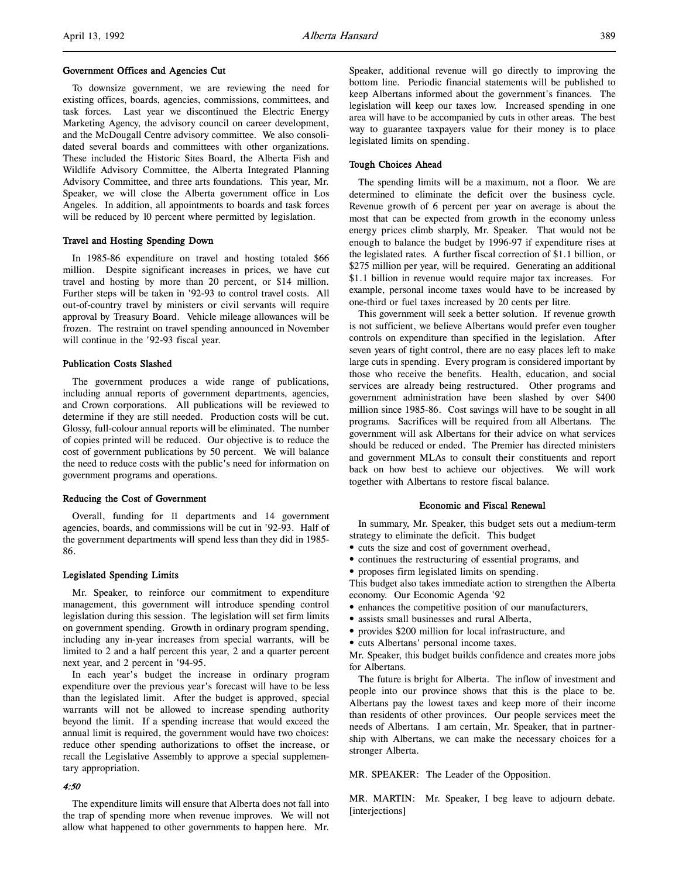### Government Offices and Agencies Cut

To downsize government, we are reviewing the need for existing offices, boards, agencies, commissions, committees, and task forces. Last year we discontinued the Electric Energy Marketing Agency, the advisory council on career development, and the McDougall Centre advisory committee. We also consolidated several boards and committees with other organizations. These included the Historic Sites Board, the Alberta Fish and Wildlife Advisory Committee, the Alberta Integrated Planning Advisory Committee, and three arts foundations. This year, Mr. Speaker, we will close the Alberta government office in Los Angeles. In addition, all appointments to boards and task forces will be reduced by 10 percent where permitted by legislation.

## Travel and Hosting Spending Down

In 1985-86 expenditure on travel and hosting totaled \$66 million. Despite significant increases in prices, we have cut travel and hosting by more than 20 percent, or \$14 million. Further steps will be taken in '92-93 to control travel costs. All out-of-country travel by ministers or civil servants will require approval by Treasury Board. Vehicle mileage allowances will be frozen. The restraint on travel spending announced in November will continue in the '92-93 fiscal year.

## Publication Costs Slashed

The government produces a wide range of publications, including annual reports of government departments, agencies, and Crown corporations. All publications will be reviewed to determine if they are still needed. Production costs will be cut. Glossy, full-colour annual reports will be eliminated. The number of copies printed will be reduced. Our objective is to reduce the cost of government publications by 50 percent. We will balance the need to reduce costs with the public's need for information on government programs and operations.

## Reducing the Cost of Government

Overall, funding for 11 departments and 14 government agencies, boards, and commissions will be cut in '92-93. Half of the government departments will spend less than they did in 1985- 86.

### Legislated Spending Limits

Mr. Speaker, to reinforce our commitment to expenditure management, this government will introduce spending control legislation during this session. The legislation will set firm limits on government spending. Growth in ordinary program spending, including any in-year increases from special warrants, will be limited to 2 and a half percent this year, 2 and a quarter percent next year, and 2 percent in '94-95.

In each year's budget the increase in ordinary program expenditure over the previous year's forecast will have to be less than the legislated limit. After the budget is approved, special warrants will not be allowed to increase spending authority beyond the limit. If a spending increase that would exceed the annual limit is required, the government would have two choices: reduce other spending authorizations to offset the increase, or recall the Legislative Assembly to approve a special supplementary appropriation.

# 4:50

The expenditure limits will ensure that Alberta does not fall into the trap of spending more when revenue improves. We will not allow what happened to other governments to happen here. Mr.

Speaker, additional revenue will go directly to improving the bottom line. Periodic financial statements will be published to keep Albertans informed about the government's finances. The legislation will keep our taxes low. Increased spending in one area will have to be accompanied by cuts in other areas. The best way to guarantee taxpayers value for their money is to place legislated limits on spending.

## Tough Choices Ahead

The spending limits will be a maximum, not a floor. We are determined to eliminate the deficit over the business cycle. Revenue growth of 6 percent per year on average is about the most that can be expected from growth in the economy unless energy prices climb sharply, Mr. Speaker. That would not be enough to balance the budget by 1996-97 if expenditure rises at the legislated rates. A further fiscal correction of \$1.1 billion, or \$275 million per year, will be required. Generating an additional \$1.1 billion in revenue would require major tax increases. For example, personal income taxes would have to be increased by one-third or fuel taxes increased by 20 cents per litre.

This government will seek a better solution. If revenue growth is not sufficient, we believe Albertans would prefer even tougher controls on expenditure than specified in the legislation. After seven years of tight control, there are no easy places left to make large cuts in spending. Every program is considered important by those who receive the benefits. Health, education, and social services are already being restructured. Other programs and government administration have been slashed by over \$400 million since 1985-86. Cost savings will have to be sought in all programs. Sacrifices will be required from all Albertans. The government will ask Albertans for their advice on what services should be reduced or ended. The Premier has directed ministers and government MLAs to consult their constituents and report back on how best to achieve our objectives. We will work together with Albertans to restore fiscal balance.

### Economic and Fiscal Renewal

In summary, Mr. Speaker, this budget sets out a medium-term strategy to eliminate the deficit. This budget

- cuts the size and cost of government overhead,
- continues the restructuring of essential programs, and
- proposes firm legislated limits on spending.

This budget also takes immediate action to strengthen the Alberta economy. Our Economic Agenda '92

- enhances the competitive position of our manufacturers,
- assists small businesses and rural Alberta,
- provides \$200 million for local infrastructure, and
- cuts Albertans' personal income taxes.

Mr. Speaker, this budget builds confidence and creates more jobs for Albertans.

The future is bright for Alberta. The inflow of investment and people into our province shows that this is the place to be. Albertans pay the lowest taxes and keep more of their income than residents of other provinces. Our people services meet the needs of Albertans. I am certain, Mr. Speaker, that in partnership with Albertans, we can make the necessary choices for a stronger Alberta.

MR. SPEAKER: The Leader of the Opposition.

MR. MARTIN: Mr. Speaker, I beg leave to adjourn debate. [interjections]